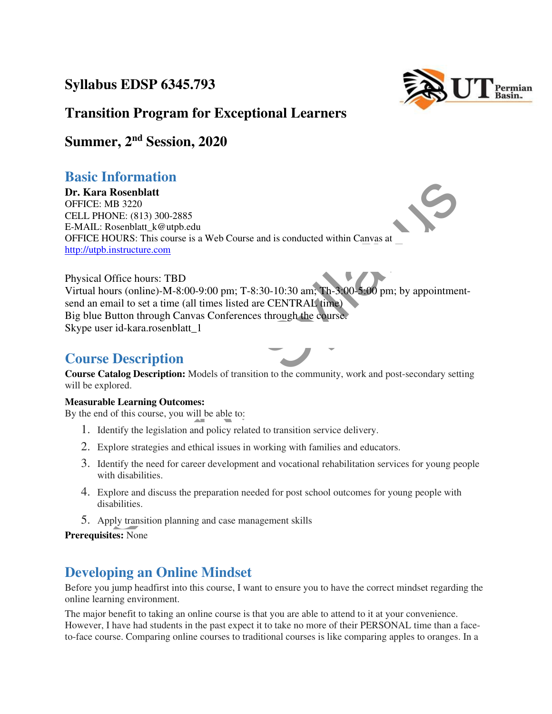### **Syllabus EDSP 6345.793**



### **Transition Program for Exceptional Learners**

### **Summer, 2nd Session, 2020**

### **Basic Information**

**Dr. Kara Rosenblatt**  OFFICE: MB 3220 CELL PHONE: (813) 300-2885 E-MAIL: Rosenblatt\_k@utpb.edu OFFICE HOURS: This course is a Web Course and is conducted within Canvas at http://utpb.instructure.com

EE: MB 3220<br>
IL: Rosenblatt<br>
EE: MB 3220<br>
IL: Rosenblatt<br>
IL: Rosenblatt<br>
IL: Rosenblatt<br>
IL: Rosenblatt<br>
IC: Solution (strained and is conducted within Canvas at<br>
the DNNE: (813) 300-2885<br>
IL: Rosenblatt<br>
IL: Rosenblatt<br> Physical Office hours: TBD Virtual hours (online)-M-8:00-9:00 pm; T-8:30-10:30 am; Th-3:00-5:00 pm; by appointmentsend an email to set a time (all times listed are CENTRAL time) Big blue Button through Canvas Conferences through the course. Skype user id-kara.rosenblatt\_1

### **Course Description**

**Course Catalog Description:** Models of transition to the community, work and post-secondary setting will be explored.

#### **Measurable Learning Outcomes:**

By the end of this course, you will be able to:

- 1. Identify the legislation and policy related to transition service delivery.
- 2. Explore strategies and ethical issues in working with families and educators.
- 3. Identify the need for career development and vocational rehabilitation services for young people with disabilities.
- 4. Explore and discuss the preparation needed for post school outcomes for young people with disabilities.
- 5. Apply transition planning and case management skills

### **Prerequisites:** None

### **Developing an Online Mindset**

Before you jump headfirst into this course, I want to ensure you to have the correct mindset regarding the online learning environment.

The major benefit to taking an online course is that you are able to attend to it at your convenience. However, I have had students in the past expect it to take no more of their PERSONAL time than a faceto-face course. Comparing online courses to traditional courses is like comparing apples to oranges. In a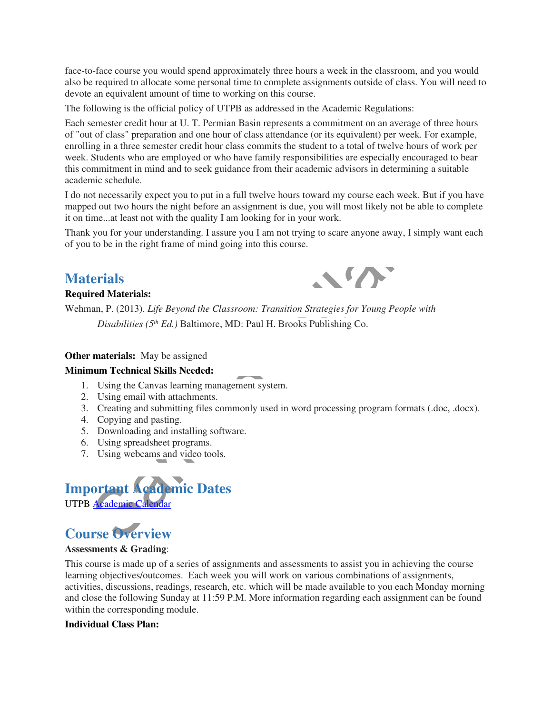face-to-face course you would spend approximately three hours a week in the classroom, and you would also be required to allocate some personal time to complete assignments outside of class. You will need to devote an equivalent amount of time to working on this course.

The following is the official policy of UTPB as addressed in the Academic Regulations:

Each semester credit hour at U. T. Permian Basin represents a commitment on an average of three hours of "out of class" preparation and one hour of class attendance (or its equivalent) per week. For example, enrolling in a three semester credit hour class commits the student to a total of twelve hours of work per week. Students who are employed or who have family responsibilities are especially encouraged to bear this commitment in mind and to seek guidance from their academic advisors in determining a suitable academic schedule.

me schedule.<br>
Intersection<br>
of accessarily expect you to put in a full twelve hours toward my course cach week. But if you had out two hours the night hefore an assignment is due, you will most likely not be able to compli I do not necessarily expect you to put in a full twelve hours toward my course each week. But if you have mapped out two hours the night before an assignment is due, you will most likely not be able to complete it on time...at least not with the quality I am looking for in your work.

Thank you for your understanding. I assure you I am not trying to scare anyone away, I simply want each of you to be in the right frame of mind going into this course.

### **Materials**

### **Required Materials:**



Wehman, P. (2013). *Life Beyond the Classroom: Transition Strategies for Young People with Disabilities (5th Ed.)* Baltimore, MD: Paul H. Brooks Publishing Co.

#### **Other materials:** May be assigned

#### **Minimum Technical Skills Needed:**

- 1. Using the Canvas learning management system.
- 2. Using email with attachments.
- 3. Creating and submitting files commonly used in word processing program formats (.doc, .docx).
- 4. Copying and pasting.
- 5. Downloading and installing software.
- 6. Using spreadsheet programs.
- 7. Using webcams and video tools.



# **Course Overview**

#### **Assessments & Grading**:

This course is made up of a series of assignments and assessments to assist you in achieving the course learning objectives/outcomes. Each week you will work on various combinations of assignments, activities, discussions, readings, research, etc. which will be made available to you each Monday morning and close the following Sunday at 11:59 P.M. More information regarding each assignment can be found within the corresponding module.

#### **Individual Class Plan:**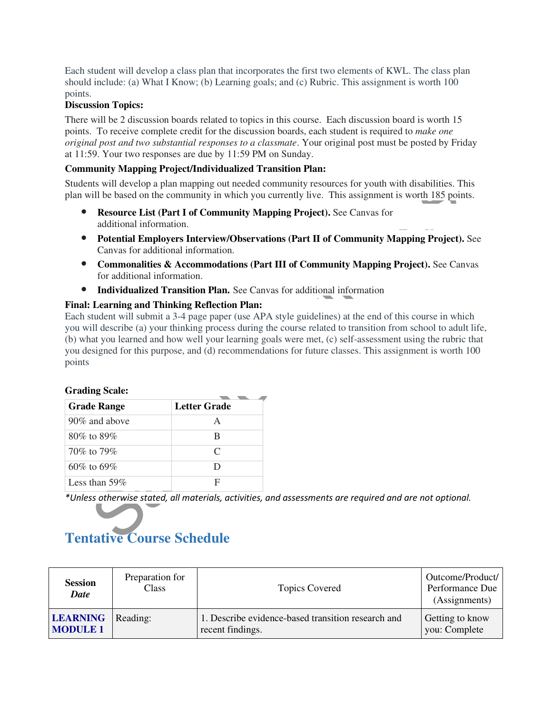Each student will develop a class plan that incorporates the first two elements of KWL. The class plan should include: (a) What I Know; (b) Learning goals; and (c) Rubric. This assignment is worth 100 points.

#### **Discussion Topics:**

**Grading Scale:** 

There will be 2 discussion boards related to topics in this course. Each discussion board is worth 15 points. To receive complete credit for the discussion boards, each student is required to *make one original post and two substantial responses to a classmate*. Your original post must be posted by Friday at 11:59. Your two responses are due by 11:59 PM on Sunday.

### **Community Mapping Project/Individualized Transition Plan:**

Students will develop a plan mapping out needed community resources for youth with disabilities. This plan will be based on the community in which you currently live. This assignment is worth 185 points.

- **Resource List (Part I of Community Mapping Project).** See Canvas for additional information.
- **Potential Employers Interview/Observations (Part II of Community Mapping Project).** See Canvas for additional information.
- **Commonalities & Accommodations (Part III of Community Mapping Project).** See Canvas for additional information.
- **Individualized Transition Plan.** See Canvas for additional information

#### **Final: Learning and Thinking Reflection Plan:**

sits will develop a plan mapping out needed community resources for youth with disabilities. This assignment is worth 185 points<br>
idi be based on the community in which you currently live. This assignment is worth 185 poi Each student will submit a 3-4 page paper (use APA style guidelines) at the end of this course in which you will describe (a) your thinking process during the course related to transition from school to adult life, (b) what you learned and how well your learning goals were met, (c) self-assessment using the rubric that you designed for this purpose, and (d) recommendations for future classes. This assignment is worth 100 points

| OTaunig Otalt.     |              |
|--------------------|--------------|
| <b>Grade Range</b> | Letter Grade |
| $90\%$ and above   | А            |
| $80\%$ to $89\%$   | B            |
| 70\% to 79\%       | C            |
| $60\%$ to $69\%$   | D            |
| Less than 59\%     | F            |

\*Unless otherwise stated, all materials, activities, and assessments are required and are not optional.

# **Tentative Course Schedule**

| <b>Session</b><br><b>Date</b> | Preparation for<br><b>Class</b> | <b>Topics Covered</b>                              | Outcome/Product/<br>Performance Due<br>(Assignments) |
|-------------------------------|---------------------------------|----------------------------------------------------|------------------------------------------------------|
| <b>LEARNING</b>               | Reading:                        | 1. Describe evidence-based transition research and | Getting to know                                      |
| <b>MODULE 1</b>               |                                 | recent findings.                                   | you: Complete                                        |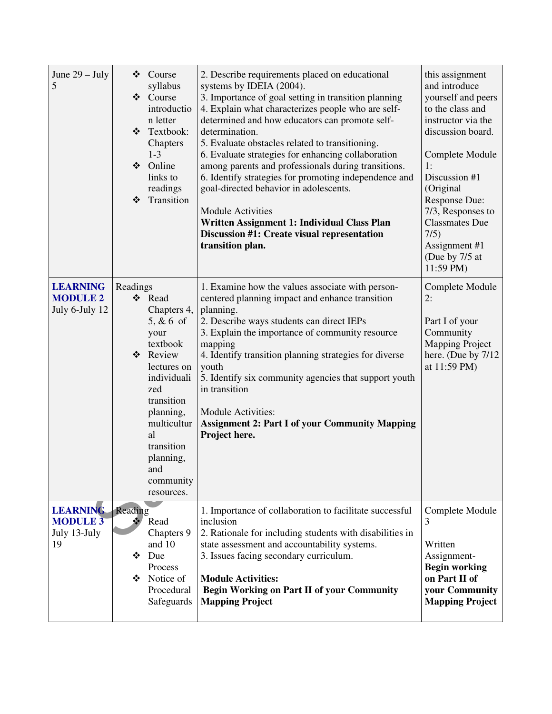| June $29 - July$<br>5                                    | Course<br>❖<br>syllabus<br>Course<br>❖<br>introductio<br>n letter<br>Textbook:<br>$\frac{1}{2}$<br>Chapters<br>$1 - 3$<br>❖ Online<br>links to<br>readings<br>Transition<br>$\frac{1}{2}$                                          | 2. Describe requirements placed on educational<br>systems by IDEIA (2004).<br>3. Importance of goal setting in transition planning<br>4. Explain what characterizes people who are self-<br>determined and how educators can promote self-<br>determination.<br>5. Evaluate obstacles related to transitioning.<br>6. Evaluate strategies for enhancing collaboration<br>among parents and professionals during transitions.<br>6. Identify strategies for promoting independence and<br>goal-directed behavior in adolescents.<br><b>Module Activities</b><br>Written Assignment 1: Individual Class Plan<br>Discussion #1: Create visual representation<br>transition plan. | this assignment<br>and introduce<br>yourself and peers<br>to the class and<br>instructor via the<br>discussion board.<br>Complete Module<br>1:<br>Discussion #1<br>(Original<br>Response Due:<br>7/3, Responses to<br><b>Classmates Due</b><br>7/5)<br>Assignment #1<br>(Due by 7/5 at<br>11:59 PM) |
|----------------------------------------------------------|------------------------------------------------------------------------------------------------------------------------------------------------------------------------------------------------------------------------------------|-------------------------------------------------------------------------------------------------------------------------------------------------------------------------------------------------------------------------------------------------------------------------------------------------------------------------------------------------------------------------------------------------------------------------------------------------------------------------------------------------------------------------------------------------------------------------------------------------------------------------------------------------------------------------------|-----------------------------------------------------------------------------------------------------------------------------------------------------------------------------------------------------------------------------------------------------------------------------------------------------|
| <b>LEARNING</b><br><b>MODULE 2</b><br>July 6-July 12     | Readings<br>❖ Read<br>Chapters 4,<br>$5, & 6$ of<br>your<br>textbook<br>❖ Review<br>lectures on<br>individuali<br>zed<br>transition<br>planning,<br>multicultur<br>al<br>transition<br>planning,<br>and<br>community<br>resources. | 1. Examine how the values associate with person-<br>centered planning impact and enhance transition<br>planning.<br>2. Describe ways students can direct IEPs<br>3. Explain the importance of community resource<br>mapping<br>4. Identify transition planning strategies for diverse<br>youth<br>5. Identify six community agencies that support youth<br>in transition<br>Module Activities:<br><b>Assignment 2: Part I of your Community Mapping</b><br>Project here.                                                                                                                                                                                                      | Complete Module<br>2:<br>Part I of your<br>Community<br><b>Mapping Project</b><br>here. (Due by 7/12)<br>at 11:59 PM)                                                                                                                                                                               |
| <b>LEARNING</b><br><b>MODULE 3</b><br>July 13-July<br>19 | Reading<br>$\frac{1}{2}$<br>Read<br>Chapters 9<br>and 10<br>Due<br>❖<br>Process<br>Notice of<br>❖<br>Procedural<br>Safeguards                                                                                                      | 1. Importance of collaboration to facilitate successful<br>inclusion<br>2. Rationale for including students with disabilities in<br>state assessment and accountability systems.<br>3. Issues facing secondary curriculum.<br><b>Module Activities:</b><br><b>Begin Working on Part II of your Community</b><br><b>Mapping Project</b>                                                                                                                                                                                                                                                                                                                                        | Complete Module<br>3<br>Written<br>Assignment-<br><b>Begin working</b><br>on Part II of<br>your Community<br><b>Mapping Project</b>                                                                                                                                                                 |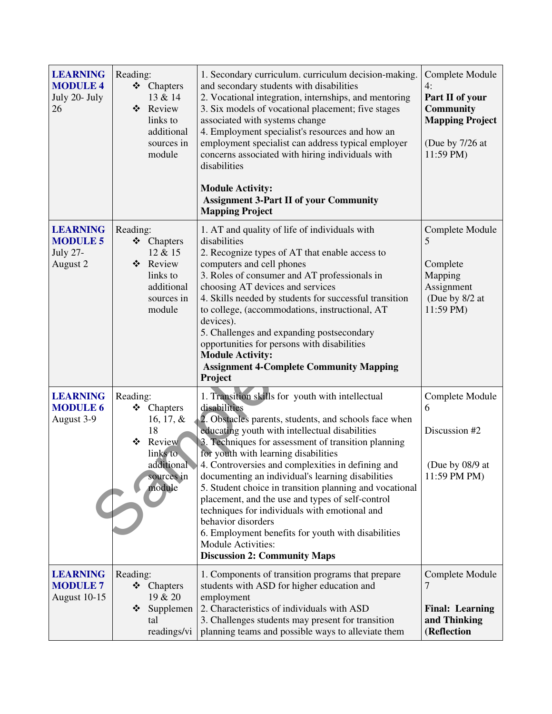| <b>LEARNING</b><br><b>MODULE 4</b><br>July 20- July<br>26         | Reading:<br>❖ Chapters<br>13 & 14<br>❖<br>Review<br>links to<br>additional<br>sources in<br>module            | 1. Secondary curriculum. curriculum decision-making.<br>and secondary students with disabilities<br>2. Vocational integration, internships, and mentoring<br>3. Six models of vocational placement; five stages<br>associated with systems change<br>4. Employment specialist's resources and how an<br>employment specialist can address typical employer<br>concerns associated with hiring individuals with<br>disabilities<br><b>Module Activity:</b><br><b>Assignment 3-Part II of your Community</b><br><b>Mapping Project</b>                                                                                                                                                                 | Complete Module<br>4:<br>Part II of your<br><b>Community</b><br><b>Mapping Project</b><br>(Due by 7/26 at<br>11:59 PM) |
|-------------------------------------------------------------------|---------------------------------------------------------------------------------------------------------------|------------------------------------------------------------------------------------------------------------------------------------------------------------------------------------------------------------------------------------------------------------------------------------------------------------------------------------------------------------------------------------------------------------------------------------------------------------------------------------------------------------------------------------------------------------------------------------------------------------------------------------------------------------------------------------------------------|------------------------------------------------------------------------------------------------------------------------|
| <b>LEARNING</b><br><b>MODULE 5</b><br><b>July 27-</b><br>August 2 | Reading:<br>❖ Chapters<br>12 & 15<br>Review<br>❖<br>links to<br>additional<br>sources in<br>module            | 1. AT and quality of life of individuals with<br>disabilities<br>2. Recognize types of AT that enable access to<br>computers and cell phones<br>3. Roles of consumer and AT professionals in<br>choosing AT devices and services<br>4. Skills needed by students for successful transition<br>to college, (accommodations, instructional, AT<br>devices).<br>5. Challenges and expanding postsecondary<br>opportunities for persons with disabilities<br><b>Module Activity:</b><br><b>Assignment 4-Complete Community Mapping</b><br>Project                                                                                                                                                        | Complete Module<br>5<br>Complete<br>Mapping<br>Assignment<br>(Due by 8/2 at<br>11:59 PM)                               |
| <b>LEARNING</b><br><b>MODULE 6</b><br>August 3-9                  | Reading:<br>❖ Chapters<br>16, 17, $\&$<br>18<br>❖<br>Review<br>links to<br>additional<br>sources in<br>module | 1. Transition skills for youth with intellectual<br>disabilities<br>2. Obstacles parents, students, and schools face when<br>educating youth with intellectual disabilities<br>3. Techniques for assessment of transition planning<br>for youth with learning disabilities<br>4. Controversies and complexities in defining and<br>documenting an individual's learning disabilities<br>5. Student choice in transition planning and vocational<br>placement, and the use and types of self-control<br>techniques for individuals with emotional and<br>behavior disorders<br>6. Employment benefits for youth with disabilities<br><b>Module Activities:</b><br><b>Discussion 2: Community Maps</b> | Complete Module<br>6<br>Discussion #2<br>(Due by 08/9 at<br>11:59 PM PM)                                               |
| <b>LEARNING</b><br><b>MODULE 7</b><br>August 10-15                | Reading:<br>❖ Chapters<br>19 & 20<br>Supplemen<br>❖<br>tal<br>readings/vi                                     | 1. Components of transition programs that prepare<br>students with ASD for higher education and<br>employment<br>2. Characteristics of individuals with ASD<br>3. Challenges students may present for transition<br>planning teams and possible ways to alleviate them                                                                                                                                                                                                                                                                                                                                                                                                                               | Complete Module<br>7<br><b>Final: Learning</b><br>and Thinking<br>(Reflection                                          |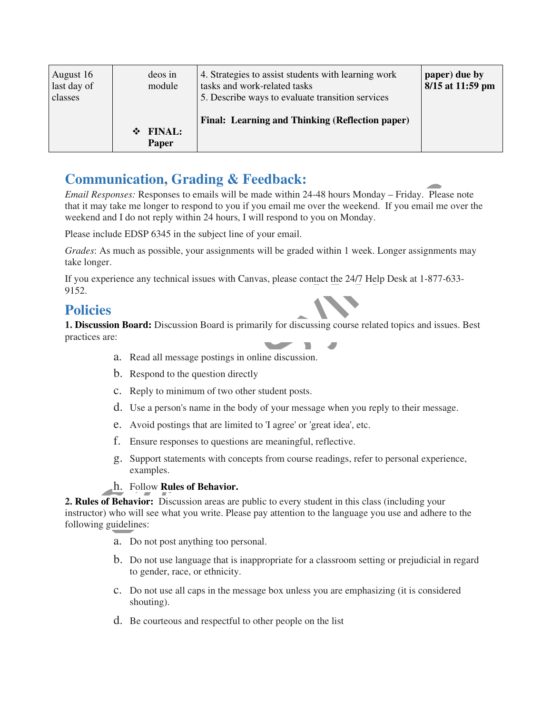| August 16<br>last day of<br>classes | deos in<br>module           | 4. Strategies to assist students with learning work<br>tasks and work-related tasks<br>5. Describe ways to evaluate transition services | paper) due by<br>8/15 at 11:59 pm |
|-------------------------------------|-----------------------------|-----------------------------------------------------------------------------------------------------------------------------------------|-----------------------------------|
|                                     | <b>FINAL:</b><br>❖<br>Paper | Final: Learning and Thinking (Reflection paper)                                                                                         |                                   |

### **Communication, Grading & Feedback:**

**EXECUTE TRANCE TO THE SYLVATE CONDUCTE:**<br> **EXECUTE ANOTE AND TRANCE TO THE SYSTEMS:** THE SYSTEMS: THE SYSTEMS TO CONDINITY THE SYSTEMS TO CONDUCT THE SYSTEMS TO DURINE THE ONE THANCE THE SYSTEMS TO DURING THE THANCE THE *Email Responses:* Responses to emails will be made within 24-48 hours Monday – Friday. Please note that it may take me longer to respond to you if you email me over the weekend. If you email me over the weekend and I do not reply within 24 hours, I will respond to you on Monday.

Please include EDSP 6345 in the subject line of your email.

*Grades*: As much as possible, your assignments will be graded within 1 week. Longer assignments may take longer.

If you experience any technical issues with Canvas, please contact the 24/7 Help Desk at 1-877-633- 9152.

### **Policies**

**1. Discussion Board:** Discussion Board is primarily for discussing course related topics and issues. Best practices are:

- a. Read all message postings in online discussion.
- b. Respond to the question directly
- c. Reply to minimum of two other student posts.
- d. Use a person's name in the body of your message when you reply to their message.
- e. Avoid postings that are limited to 'I agree' or 'great idea', etc.
- f. Ensure responses to questions are meaningful, reflective.
- g. Support statements with concepts from course readings, refer to personal experience, examples.
- h. Follow **Rules of Behavior.**

**2. Rules of Behavior:** Discussion areas are public to every student in this class (including your instructor) who will see what you write. Please pay attention to the language you use and adhere to the following guidelines:

- a. Do not post anything too personal.
- b. Do not use language that is inappropriate for a classroom setting or prejudicial in regard to gender, race, or ethnicity.
- c. Do not use all caps in the message box unless you are emphasizing (it is considered shouting).
- d. Be courteous and respectful to other people on the list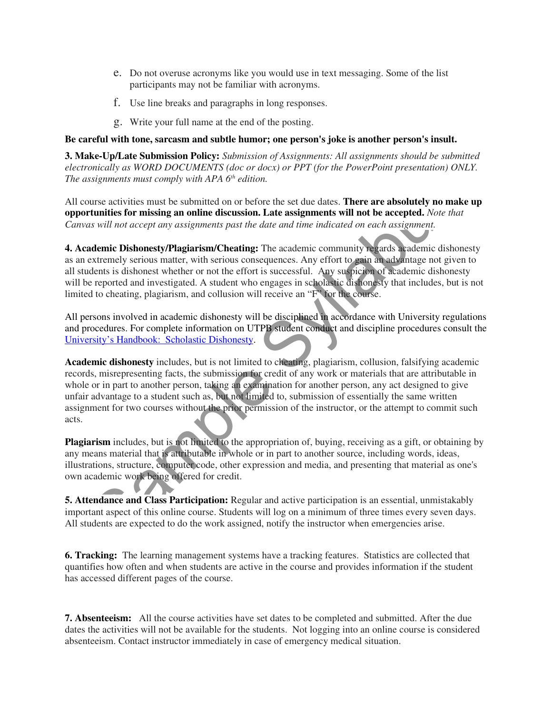- e. Do not overuse acronyms like you would use in text messaging. Some of the list participants may not be familiar with acronyms.
- f. Use line breaks and paragraphs in long responses.
- g. Write your full name at the end of the posting.

#### **Be careful with tone, sarcasm and subtle humor; one person's joke is another person's insult.**

**3. Make-Up/Late Submission Policy:** *Submission of Assignments: All assignments should be submitted electronically as WORD DOCUMENTS (doc or docx) or PPT (for the PowerPoint presentation) ONLY. The assignments must comply with APA 6th edition.* 

All course activities must be submitted on or before the set due dates. **There are absolutely no make up opportunities for missing an online discussion. Late assignments will not be accepted.** *Note that Canvas will not accept any assignments past the date and time indicated on each assignment.* 

**4. Academic Dishonesty/Plagiarism/Cheating:** The academic community regards academic dishonesty as an extremely serious matter, with serious consequences. Any effort to gain an advantage not given to all students is dishonest whether or not the effort is successful. Any suspicion of academic dishonesty will be reported and investigated. A student who engages in scholastic dishonesty that includes, but is not limited to cheating, plagiarism, and collusion will receive an "F" for the course.

All persons involved in academic dishonesty will be disciplined in accordance with University regulations and procedures. For complete information on UTPB student conduct and discipline procedures consult the University's Handbook: Scholastic Dishonesty.

Syllabushing must comply with A1 A O eathor.<br>
Unrelease activities for missing an online discussion. Late assignments will not be accepted. Note that<br>
trunities for missing an online discussion. Late assignments will not b **Academic dishonesty** includes, but is not limited to cheating, plagiarism, collusion, falsifying academic records, misrepresenting facts, the submission for credit of any work or materials that are attributable in whole or in part to another person, taking an examination for another person, any act designed to give unfair advantage to a student such as, but not limited to, submission of essentially the same written assignment for two courses without the prior permission of the instructor, or the attempt to commit such acts.

Plagiarism includes, but is not limited to the appropriation of, buying, receiving as a gift, or obtaining by any means material that is attributable in whole or in part to another source, including words, ideas, illustrations, structure, computer code, other expression and media, and presenting that material as one's own academic work being offered for credit.

**5. Attendance and Class Participation:** Regular and active participation is an essential, unmistakably important aspect of this online course. Students will log on a minimum of three times every seven days. All students are expected to do the work assigned, notify the instructor when emergencies arise.

**6. Tracking:** The learning management systems have a tracking features. Statistics are collected that quantifies how often and when students are active in the course and provides information if the student has accessed different pages of the course.

**7. Absenteeism:** All the course activities have set dates to be completed and submitted. After the due dates the activities will not be available for the students. Not logging into an online course is considered absenteeism. Contact instructor immediately in case of emergency medical situation.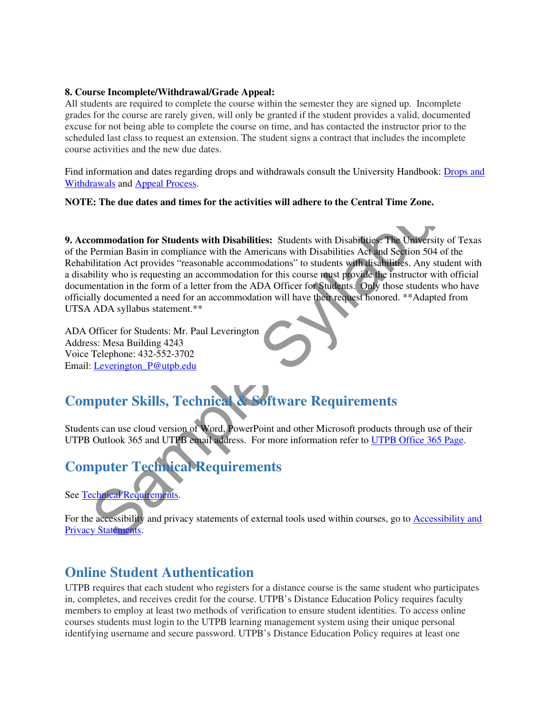#### **8. Course Incomplete/Withdrawal/Grade Appeal:**

All students are required to complete the course within the semester they are signed up. Incomplete grades for the course are rarely given, will only be granted if the student provides a valid, documented excuse for not being able to complete the course on time, and has contacted the instructor prior to the scheduled last class to request an extension. The student signs a contract that includes the incomplete course activities and the new due dates.

Find information and dates regarding drops and withdrawals consult the University Handbook: Drops and Withdrawals and Appeal Process.

#### **NOTE: The due dates and times for the activities will adhere to the Central Time Zone.**

movals and Appeal Process.<br>
S: The due dates and times for the activities will adhere to the Central Time Zone.<br>
Sommodation for Students with Disabilities: Students with Disabilities. The University of Te-<br>
Permian Basin **9. Accommodation for Students with Disabilities:** Students with Disabilities: The University of Texas of the Permian Basin in compliance with the Americans with Disabilities Act and Section 504 of the Rehabilitation Act provides "reasonable accommodations" to students with disabilities. Any student with a disability who is requesting an accommodation for this course must provide the instructor with official documentation in the form of a letter from the ADA Officer for Students. Only those students who have officially documented a need for an accommodation will have their request honored. \*\*Adapted from UTSA ADA syllabus statement.\*\*

ADA Officer for Students: Mr. Paul Leverington Address: Mesa Building 4243 Voice Telephone: 432-552-3702 Email: Leverington\_P@utpb.edu

# **Computer Skills, Technical & Software Requirements**

Students can use cloud version of Word, PowerPoint and other Microsoft products through use of their UTPB Outlook 365 and UTPB email address. For more information refer to UTPB Office 365 Page.

### **Computer Technical Requirements**

See Technical Requirements.

For the accessibility and privacy statements of external tools used within courses, go to Accessibility and Privacy Statements.

### **Online Student Authentication**

UTPB requires that each student who registers for a distance course is the same student who participates in, completes, and receives credit for the course. UTPB's Distance Education Policy requires faculty members to employ at least two methods of verification to ensure student identities. To access online courses students must login to the UTPB learning management system using their unique personal identifying username and secure password. UTPB's Distance Education Policy requires at least one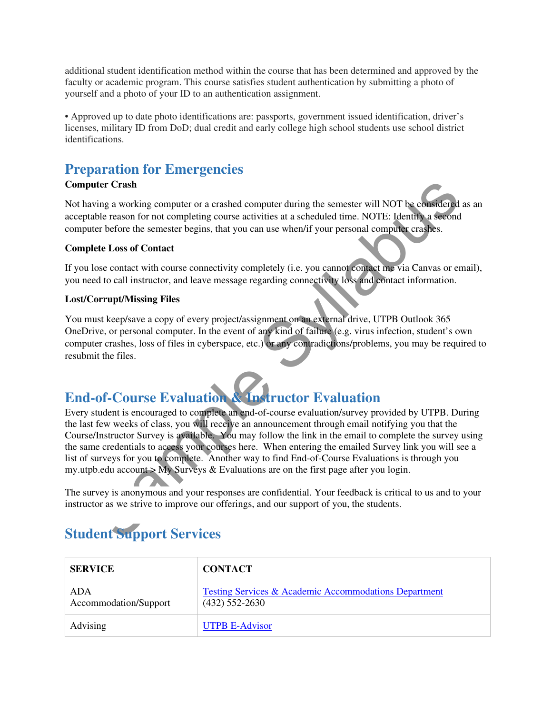additional student identification method within the course that has been determined and approved by the faculty or academic program. This course satisfies student authentication by submitting a photo of yourself and a photo of your ID to an authentication assignment.

• Approved up to date photo identifications are: passports, government issued identification, driver's licenses, military ID from DoD; dual credit and early college high school students use school district identifications.

### **Preparation for Emergencies**

#### **Computer Crash**

Not having a working computer or a crashed computer during the semester will NOT be considered as an acceptable reason for not completing course activities at a scheduled time. NOTE: Identify a second computer before the semester begins, that you can use when/if your personal computer crashes.

#### **Complete Loss of Contact**

If you lose contact with course connectivity completely (i.e. you cannot contact me via Canvas or email), you need to call instructor, and leave message regarding connectivity loss and contact information.

#### **Lost/Corrupt/Missing Files**

You must keep/save a copy of every project/assignment on an external drive, UTPB Outlook 365 OneDrive, or personal computer. In the event of any kind of failure (e.g. virus infection, student's own computer crashes, loss of files in cyberspace, etc.) or any contradictions/problems, you may be required to resubmit the files.

# **End-of-Course Evaluation & Instructor Evaluation**

**uter Crash**<br>
and reading computer or a crashed computer during the semester will NOT be considered a<br>
anale reason for not completing course activities at a scheduled time. NOTE: Identity a second<br>
ater before the semeste Every student is encouraged to complete an end-of-course evaluation/survey provided by UTPB. During the last few weeks of class, you will receive an announcement through email notifying you that the Course/Instructor Survey is available. You may follow the link in the email to complete the survey using the same credentials to access your courses here. When entering the emailed Survey link you will see a list of surveys for you to complete. Another way to find End-of-Course Evaluations is through you my.utpb.edu account  $>$  My Surveys & Evaluations are on the first page after you login.

The survey is anonymous and your responses are confidential. Your feedback is critical to us and to your instructor as we strive to improve our offerings, and our support of you, the students.

# **Student Support Services**

| <b>SERVICE</b>               | <b>CONTACT</b>                                                            |
|------------------------------|---------------------------------------------------------------------------|
| ADA<br>Accommodation/Support | Testing Services & Academic Accommodations Department<br>$(432)$ 552-2630 |
| Advising                     | <b>UTPB E-Advisor</b>                                                     |